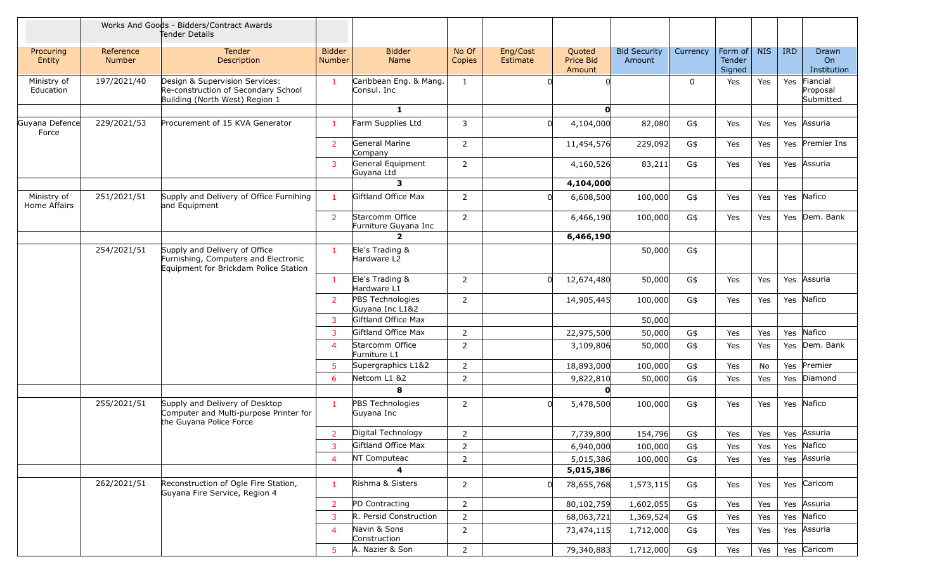|                             |                     | Works And Goods - Bidders/Contract Awards<br>Tender Details                                                    |                         |                                         |                 |                      |                                      |                               |             |                             |            |            |                                   |
|-----------------------------|---------------------|----------------------------------------------------------------------------------------------------------------|-------------------------|-----------------------------------------|-----------------|----------------------|--------------------------------------|-------------------------------|-------------|-----------------------------|------------|------------|-----------------------------------|
| Procuring<br>Entity         | Reference<br>Number | <b>Tender</b><br>Description                                                                                   | <b>Bidder</b><br>Number | <b>Bidder</b><br>Name                   | No Of<br>Copies | Eng/Cost<br>Estimate | Quoted<br><b>Price Bid</b><br>Amount | <b>Bid Security</b><br>Amount | Currency    | Form of<br>Tender<br>Signed | <b>NIS</b> | <b>IRD</b> | Drawn<br>On<br>Institution        |
| Ministry of<br>Education    | 197/2021/40         | Design & Supervision Services:<br>Re-construction of Secondary School<br>Building (North West) Region 1        | 1                       | Caribbean Eng. & Mang.<br>Consul. Inc   | 1               |                      |                                      |                               | $\mathbf 0$ | Yes                         | Yes        | Yes        | Fiancial<br>Proposal<br>Submitted |
|                             |                     |                                                                                                                |                         | $\mathbf{1}$                            |                 |                      | $\mathbf{o}$                         |                               |             |                             |            |            |                                   |
| Guyana Defence<br>Force     | 229/2021/53         | Procurement of 15 KVA Generator                                                                                | $\mathbf{1}$            | Farm Supplies Ltd                       | 3               | $\Omega$             | 4,104,000                            | 82,080                        | G\$         | Yes                         | Yes        |            | Yes Assuria                       |
|                             |                     |                                                                                                                | $\overline{2}$          | General Marine<br>Company               | 2               |                      | 11,454,576                           | 229,092                       | G\$         | Yes                         | Yes        |            | Yes Premier Ins                   |
|                             |                     |                                                                                                                | 3                       | General Equipment<br>Guyana Ltd         | $\overline{2}$  |                      | 4,160,526                            | 83,211                        | G\$         | Yes                         | Yes        |            | Yes Assuria                       |
|                             |                     |                                                                                                                |                         | 3                                       |                 |                      | 4,104,000                            |                               |             |                             |            |            |                                   |
| Ministry of<br>Home Affairs | 251/2021/51         | Supply and Delivery of Office Furnihing<br>and Equipment                                                       | $\mathbf{1}$            | Giftland Office Max                     | 2               | $\Omega$             | 6,608,500                            | 100,000                       | G\$         | Yes                         | Yes        |            | Yes Nafico                        |
|                             |                     |                                                                                                                | $\overline{2}$          | Starcomm Office<br>Furniture Guyana Inc | 2               |                      | 6,466,190                            | 100,000                       | G\$         | Yes                         | Yes        |            | Yes Dem. Bank                     |
|                             |                     |                                                                                                                |                         | $\mathbf{z}$                            |                 |                      | 6,466,190                            |                               |             |                             |            |            |                                   |
|                             | 254/2021/51         | Supply and Delivery of Office<br>Furnishing, Computers and Electronic<br>Equipment for Brickdam Police Station | $\mathbf{1}$            | Ele's Trading &<br>Hardware L2          |                 |                      |                                      | 50,000                        | G\$         |                             |            |            |                                   |
|                             |                     |                                                                                                                | $\mathbf{1}$            | Ele's Trading &<br>Hardware L1          | $\overline{2}$  | n                    | 12,674,480                           | 50,000                        | G\$         | Yes                         | Yes        |            | Yes Assuria                       |
|                             |                     |                                                                                                                | $\overline{2}$          | PBS Technologies<br>Guyana Inc L1&2     | $\overline{2}$  |                      | 14,905,445                           | 100,000                       | G\$         | Yes                         | Yes        |            | Yes Nafico                        |
|                             |                     |                                                                                                                | 3                       | Giftland Office Max                     |                 |                      |                                      | 50,000                        |             |                             |            |            |                                   |
|                             |                     |                                                                                                                | 3                       | Giftland Office Max                     | $\overline{2}$  |                      | 22,975,500                           | 50,000                        | G\$         | Yes                         | Yes        |            | Yes Nafico                        |
|                             |                     |                                                                                                                | $\overline{4}$          | Starcomm Office<br>Furniture L1         | $\overline{2}$  |                      | 3,109,806                            | 50,000                        | G\$         | Yes                         | Yes        |            | Yes Dem. Bank                     |
|                             |                     |                                                                                                                | 5                       | Supergraphics L1&2                      | 2               |                      | 18,893,000                           | 100,000                       | G\$         | Yes                         | No         | Yes        | Premier                           |
|                             |                     |                                                                                                                | 6                       | Netcom L1 &2                            | $\overline{2}$  |                      | 9,822,810                            | 50,000                        | G\$         | Yes                         | Yes        |            | Yes Diamond                       |
|                             |                     |                                                                                                                |                         | 8                                       |                 |                      | 0                                    |                               |             |                             |            |            |                                   |
|                             | 255/2021/51         | Supply and Delivery of Desktop<br>Computer and Multi-purpose Printer for<br>the Guyana Police Force            | $\mathbf{1}$            | PBS Technologies<br>Guyana Inc          | 2               | $\Omega$             | 5,478,500                            | 100,000                       | G\$         | Yes                         | Yes        |            | Yes Nafico                        |
|                             |                     |                                                                                                                | $\overline{2}$          | Digital Technology                      | 2               |                      | 7,739,800                            | 154,796                       | G\$         | Yes                         | Yes        |            | Yes Assuria                       |
|                             |                     |                                                                                                                | 3                       | Giftland Office Max                     | $\overline{2}$  |                      | 6,940,000                            | 100,000                       | G\$         | Yes                         | Yes        |            | Yes Nafico                        |
|                             |                     |                                                                                                                | 4                       | NT Computeac                            | $\overline{2}$  |                      | 5,015,386                            | 100,000                       | G\$         | Yes                         | Yes        |            | Yes Assuria                       |
|                             |                     |                                                                                                                |                         |                                         |                 |                      | 5,015,386                            |                               |             |                             |            |            |                                   |
|                             | 262/2021/51         | Reconstruction of Ogle Fire Station,<br>Guyana Fire Service, Region 4                                          | $\mathbf{1}$            | Rishma & Sisters                        | 2               | n                    | 78,655,768                           | 1,573,115                     | G\$         | Yes                         | Yes        |            | Yes Caricom                       |
|                             |                     |                                                                                                                | $\overline{2}$          | PD Contracting                          | $\overline{2}$  |                      | 80,102,759                           | 1,602,055                     | G\$         | Yes                         | Yes        |            | Yes Assuria                       |
|                             |                     |                                                                                                                | 3                       | R. Persid Construction                  | $\overline{2}$  |                      | 68,063,721                           | 1,369,524                     | G\$         | Yes                         | Yes        |            | Yes Nafico                        |
|                             |                     |                                                                                                                | $\overline{4}$          | Navin & Sons<br>Construction            | $\overline{2}$  |                      | 73,474,115                           | 1,712,000                     | G\$         | Yes                         | Yes        |            | Yes Assuria                       |
|                             |                     |                                                                                                                | 5 <sup>1</sup>          | A. Nazier & Son                         | $\overline{2}$  |                      | 79,340,883                           | 1,712,000                     | G\$         | Yes                         | Yes        |            | Yes Caricom                       |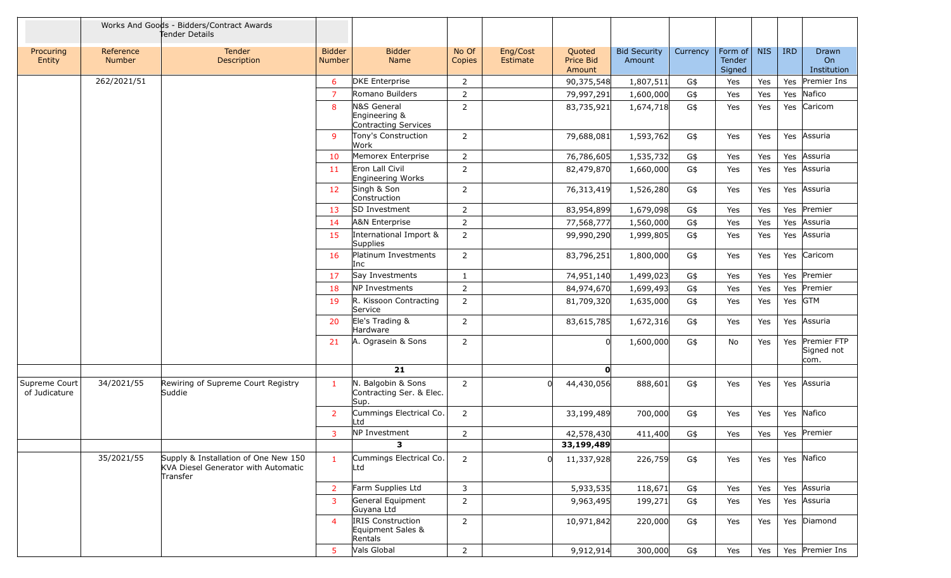|                                |                     | Works And Goods - Bidders/Contract Awards<br>Tender Details                             |                         |                                                          |                 |                      |                               |                               |          |                             |            |            |                                       |
|--------------------------------|---------------------|-----------------------------------------------------------------------------------------|-------------------------|----------------------------------------------------------|-----------------|----------------------|-------------------------------|-------------------------------|----------|-----------------------------|------------|------------|---------------------------------------|
| Procuring<br>Entity            | Reference<br>Number | <b>Tender</b><br>Description                                                            | <b>Bidder</b><br>Number | <b>Bidder</b><br><b>Name</b>                             | No Of<br>Copies | Eng/Cost<br>Estimate | Quoted<br>Price Bid<br>Amount | <b>Bid Security</b><br>Amount | Currency | Form of<br>Tender<br>Signed | <b>NIS</b> | <b>IRD</b> | Drawn<br>On<br>Institution            |
|                                | 262/2021/51         |                                                                                         | 6                       | <b>DKE</b> Enterprise                                    | $\overline{2}$  |                      | 90,375,548                    | 1,807,511                     | G\$      | Yes                         | Yes        |            | Yes Premier Ins                       |
|                                |                     |                                                                                         | $\overline{7}$          | Romano Builders                                          | $\overline{2}$  |                      | 79,997,291                    | 1,600,000                     | G\$      | Yes                         | Yes        | Yes        | Nafico                                |
|                                |                     |                                                                                         | 8                       | N&S General<br>Engineering &<br>Contracting Services     | $\overline{2}$  |                      | 83,735,921                    | 1,674,718                     | G\$      | Yes                         | Yes        |            | Yes Caricom                           |
|                                |                     |                                                                                         | -9                      | Tony's Construction<br>Work                              | $\overline{2}$  |                      | 79,688,081                    | 1,593,762                     | G\$      | Yes                         | Yes        |            | Yes Assuria                           |
|                                |                     |                                                                                         | 10                      | Memorex Enterprise                                       | $\overline{2}$  |                      | 76,786,605                    | 1,535,732                     | G\$      | Yes                         | Yes        |            | Yes Assuria                           |
|                                |                     |                                                                                         | 11                      | Eron Lall Civil<br>Engineering Works                     | $\overline{2}$  |                      | 82,479,870                    | 1,660,000                     | G\$      | Yes                         | Yes        |            | Yes Assuria                           |
|                                |                     |                                                                                         | 12                      | Singh & Son<br>Construction                              | $\overline{2}$  |                      | 76,313,419                    | 1,526,280                     | G\$      | Yes                         | Yes        |            | Yes Assuria                           |
|                                |                     |                                                                                         | 13                      | <b>SD Investment</b>                                     | $\overline{2}$  |                      | 83,954,899                    | 1,679,098                     | G\$      | Yes                         | Yes        |            | Yes Premier                           |
|                                |                     |                                                                                         | 14                      | A&N Enterprise                                           | $\overline{2}$  |                      | 77,568,777                    | 1,560,000                     | G\$      | Yes                         | Yes        | Yes        | Assuria                               |
|                                |                     |                                                                                         | 15                      | International Import &<br>Supplies                       | $\overline{2}$  |                      | 99,990,290                    | 1,999,805                     | G\$      | Yes                         | Yes        |            | Yes Assuria                           |
|                                |                     |                                                                                         | 16                      | Platinum Investments<br>Inc                              | $\overline{2}$  |                      | 83,796,251                    | 1,800,000                     | G\$      | Yes                         | Yes        |            | Yes Caricom                           |
|                                |                     |                                                                                         | 17                      | Say Investments                                          | 1               |                      | 74,951,140                    | 1,499,023                     | G\$      | Yes                         | Yes        |            | Yes Premier                           |
|                                |                     |                                                                                         | 18                      | NP Investments                                           | 2               |                      | 84,974,670                    | 1,699,493                     | G\$      | Yes                         | Yes        |            | Yes Premier                           |
|                                |                     |                                                                                         | 19                      | R. Kissoon Contracting<br>Service                        | $\overline{2}$  |                      | 81,709,320                    | 1,635,000                     | G\$      | Yes                         | Yes        | Yes GTM    |                                       |
|                                |                     |                                                                                         | 20                      | Ele's Trading &<br>Hardware                              | $\overline{2}$  |                      | 83,615,785                    | 1,672,316                     | G\$      | Yes                         | Yes        |            | Yes Assuria                           |
|                                |                     |                                                                                         | 21                      | A. Ograsein & Sons                                       | $\overline{2}$  |                      | $\mathbf 0$                   | 1,600,000                     | G\$      | No                          | Yes        |            | Yes Premier FTP<br>Signed not<br>com. |
|                                |                     |                                                                                         |                         | 21                                                       |                 |                      | O                             |                               |          |                             |            |            |                                       |
| Supreme Court<br>of Judicature | 34/2021/55          | Rewiring of Supreme Court Registry<br>Suddie                                            | $\mathbf{1}$            | N. Balgobin & Sons<br>Contracting Ser. & Elec.<br>Sup.   | $\overline{2}$  |                      | 44,430,056                    | 888,601                       | G\$      | Yes                         | Yes        |            | Yes Assuria                           |
|                                |                     |                                                                                         | $\overline{2}$          | Cummings Electrical Co.<br>Ltd                           | $\mathbf{2}$    |                      | 33,199,489                    | 700,000                       | G\$      | Yes                         | Yes        |            | Yes Nafico                            |
|                                |                     |                                                                                         | $\mathbf{3}$            | NP Investment                                            | $\overline{2}$  |                      | 42,578,430                    | 411,400                       | G\$      | Yes                         | Yes        |            | Yes Premier                           |
|                                |                     |                                                                                         |                         | 3                                                        |                 |                      | 33,199,489                    |                               |          |                             |            |            |                                       |
|                                | 35/2021/55          | Supply & Installation of One New 150<br>KVA Diesel Generator with Automatic<br>Transfer | $\mathbf{1}$            | Cummings Electrical Co.<br>Ltd                           | $2^{\circ}$     | $\Omega$             | 11,337,928                    | 226,759                       | G\$      | Yes                         | Yes        |            | Yes Nafico                            |
|                                |                     |                                                                                         | $\overline{2}$          | Farm Supplies Ltd                                        | 3               |                      | 5,933,535                     | 118,671                       | G\$      | Yes                         | Yes        |            | Yes Assuria                           |
|                                |                     |                                                                                         | $\mathbf{3}$            | General Equipment<br>Guyana Ltd                          | $2^{\circ}$     |                      | 9,963,495                     | 199,271                       | G\$      | Yes                         | Yes        |            | Yes Assuria                           |
|                                |                     |                                                                                         | $\overline{4}$          | <b>IRIS Construction</b><br>Equipment Sales &<br>Rentals | $\overline{2}$  |                      | 10,971,842                    | 220,000                       | G\$      | Yes                         | Yes        |            | Yes Diamond                           |
|                                |                     |                                                                                         | 5 <sup>5</sup>          | Vals Global                                              | $2^{\circ}$     |                      | 9,912,914                     | 300,000                       | G\$      | Yes                         | Yes        |            | Yes Premier Ins                       |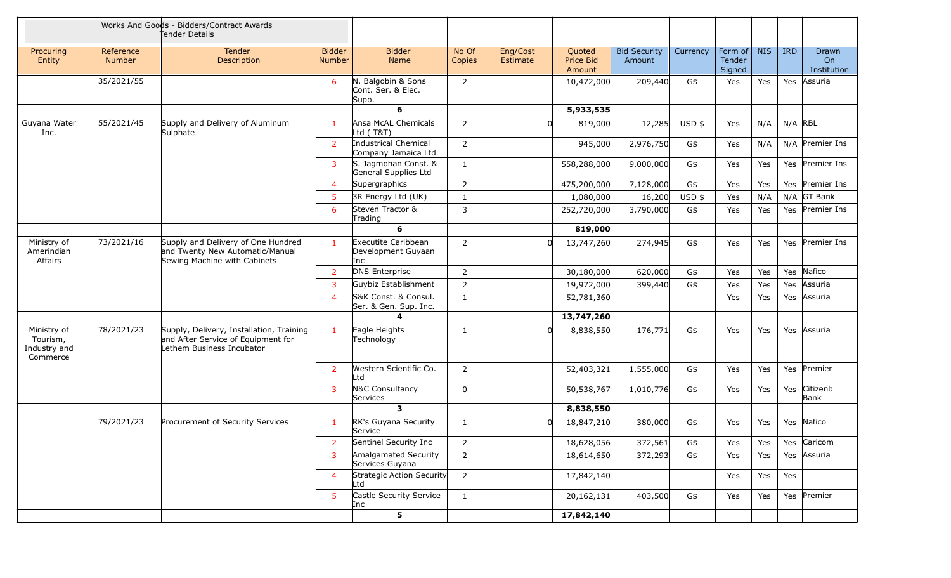|                                                     | Works And Goods - Bidders/Contract Awards<br>Tender Details |                                                                                                             |                         |                                                   |                 |                      |                               |                               |          |                             |            |            |                            |
|-----------------------------------------------------|-------------------------------------------------------------|-------------------------------------------------------------------------------------------------------------|-------------------------|---------------------------------------------------|-----------------|----------------------|-------------------------------|-------------------------------|----------|-----------------------------|------------|------------|----------------------------|
| Procuring<br>Entity                                 | Reference<br><b>Number</b>                                  | Tender<br>Description                                                                                       | <b>Bidder</b><br>Number | <b>Bidder</b><br>Name                             | No Of<br>Copies | Eng/Cost<br>Estimate | Quoted<br>Price Bid<br>Amount | <b>Bid Security</b><br>Amount | Currency | Form of<br>Tender<br>Signed | <b>NIS</b> | <b>IRD</b> | Drawn<br>On<br>Institution |
|                                                     | 35/2021/55                                                  |                                                                                                             | 6                       | N. Balgobin & Sons<br>Cont. Ser. & Elec.<br>Supo. | $\overline{2}$  |                      | 10,472,000                    | 209,440                       | G\$      | Yes                         | Yes        |            | Yes Assuria                |
|                                                     |                                                             |                                                                                                             |                         | 6                                                 |                 |                      | 5,933,535                     |                               |          |                             |            |            |                            |
| Guyana Water<br>Inc.                                | 55/2021/45                                                  | Supply and Delivery of Aluminum<br>Sulphate                                                                 | $\mathbf{1}$            | Ansa McAL Chemicals<br>Ltd (T&T)                  | $\overline{2}$  |                      | 819,000                       | 12,285                        | $USD$ \$ | Yes                         | N/A        | $N/A$ RBL  |                            |
|                                                     |                                                             |                                                                                                             | $\overline{2}$          | Industrical Chemical<br>Company Jamaica Ltd       | $\overline{2}$  |                      | 945,000                       | 2,976,750                     | G\$      | Yes                         | N/A        |            | $N/A$ Premier Ins          |
|                                                     |                                                             |                                                                                                             | $\mathbf{3}$            | S. Jagmohan Const. &<br>General Supplies Ltd      | 1               |                      | 558,288,000                   | 9,000,000                     | G\$      | Yes                         | Yes        |            | Yes Premier Ins            |
|                                                     |                                                             |                                                                                                             | $\overline{4}$          | Supergraphics                                     | $\overline{2}$  |                      | 475,200,000                   | 7,128,000                     | G\$      | Yes                         | Yes        |            | Yes Premier Ins            |
|                                                     |                                                             |                                                                                                             | 5 <sup>1</sup>          | 3R Energy Ltd (UK)                                | $\mathbf{1}$    |                      | 1,080,000                     | 16,200                        | $USD$ \$ | Yes                         | N/A        |            | $N/A$ GT Bank              |
|                                                     |                                                             |                                                                                                             | 6                       | Steven Tractor &<br>Trading                       | 3               |                      | 252,720,000                   | 3,790,000                     | G\$      | Yes                         | Yes        |            | Yes Premier Ins            |
|                                                     |                                                             |                                                                                                             |                         | 6                                                 |                 |                      | 819,000                       |                               |          |                             |            |            |                            |
| Ministry of<br>Amerindian<br>Affairs                | 73/2021/16                                                  | Supply and Delivery of One Hundred<br>and Twenty New Automatic/Manual<br>Sewing Machine with Cabinets       | $\mathbf{1}$            | Executite Caribbean<br>Development Guyaan<br>Inc  | $\overline{2}$  |                      | 13,747,260                    | 274,945                       | G\$      | Yes                         | Yes        |            | Yes Premier Ins            |
|                                                     |                                                             |                                                                                                             | $\overline{2}$          | DNS Enterprise                                    | $\overline{2}$  |                      | 30,180,000                    | 620,000                       | G\$      | Yes                         | Yes        | Yes        | Nafico                     |
|                                                     |                                                             |                                                                                                             | 3                       | Guybiz Establishment                              | $\overline{2}$  |                      | 19,972,000                    | 399,440                       | G\$      | Yes                         | Yes        | Yes        | Assuria                    |
|                                                     |                                                             |                                                                                                             | $\overline{4}$          | S&K Const. & Consul.<br>Ser. & Gen. Sup. Inc.     | $\mathbf{1}$    |                      | 52,781,360                    |                               |          | Yes                         | Yes        | Yes        | Assuria                    |
|                                                     |                                                             |                                                                                                             |                         | 4                                                 |                 |                      | 13,747,260                    |                               |          |                             |            |            |                            |
| Ministry of<br>Tourism,<br>Industry and<br>Commerce | 78/2021/23                                                  | Supply, Delivery, Installation, Training<br>and After Service of Equipment for<br>Lethem Business Incubator | $\mathbf{1}$            | Eagle Heights<br>Technology                       | 1               |                      | 8,838,550                     | 176,771                       | G\$      | Yes                         | Yes        |            | Yes Assuria                |
|                                                     |                                                             |                                                                                                             | $\overline{2}$          | Western Scientific Co.<br>Ltd                     | $\overline{2}$  |                      | 52,403,321                    | 1,555,000                     | G\$      | Yes                         | Yes        |            | Yes Premier                |
|                                                     |                                                             |                                                                                                             | $\mathbf{3}$            | N&C Consultancy<br>Services                       | $\Omega$        |                      | 50,538,767                    | 1,010,776                     | G\$      | Yes                         | Yes        | Yes        | Citizenb<br>Bank           |
|                                                     |                                                             |                                                                                                             |                         | 3                                                 |                 |                      | 8,838,550                     |                               |          |                             |            |            |                            |
|                                                     | 79/2021/23                                                  | Procurement of Security Services                                                                            | 1                       | RK's Guyana Security<br>Service                   | 1               |                      | 18,847,210<br>$\Omega$        | 380,000                       | G\$      | Yes                         | Yes        |            | Yes Nafico                 |
|                                                     |                                                             |                                                                                                             | 2                       | Sentinel Security Inc                             | 2               |                      | 18,628,056                    | 372,561                       | G\$      | Yes                         | Yes        |            | Yes Caricom                |
|                                                     |                                                             |                                                                                                             | $\overline{3}$          | Amalgamated Security<br>Services Guyana           | $\overline{2}$  |                      | 18,614,650                    | 372,293                       | G\$      | Yes                         | Yes        |            | Yes Assuria                |
|                                                     |                                                             |                                                                                                             | $\overline{4}$          | Strategic Action Security<br>Ltd                  | $\overline{2}$  |                      | 17,842,140                    |                               |          | Yes                         | Yes        | Yes        |                            |
|                                                     |                                                             |                                                                                                             | 5 <sub>5</sub>          | Castle Security Service<br>Inc                    | $\mathbf{1}$    |                      | 20, 162, 131                  | 403,500                       | G\$      | Yes                         | Yes        |            | Yes Premier                |
|                                                     |                                                             |                                                                                                             |                         | 5                                                 |                 |                      | 17,842,140                    |                               |          |                             |            |            |                            |